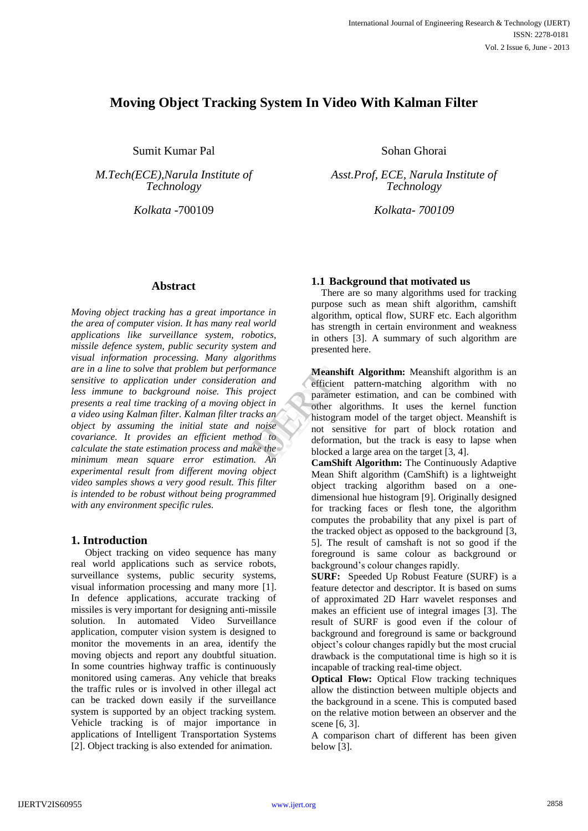# **Moving Object Tracking System In Video With Kalman Filter**

Sumit Kumar Pal

*M.Tech(ECE),Narula Institute of Technology*

### **Abstract**

*Moving object tracking has a great importance in the area of computer vision. It has many real world applications like surveillance system, robotics, missile defence system, public security system and visual information processing. Many algorithms are in a line to solve that problem but performance sensitive to application under consideration and less immune to background noise. This project presents a real time tracking of a moving object in a video using Kalman filter. Kalman filter tracks an object by assuming the initial state and noise covariance. It provides an efficient method to calculate the state estimation process and make the minimum mean square error estimation. An experimental result from different moving object video samples shows a very good result. This filter is intended to be robust without being programmed with any environment specific rules.* 

### **1. Introduction**

Object tracking on video sequence has many real world applications such as service robots, surveillance systems, public security systems, visual information processing and many more [1]. In defence applications, accurate tracking of missiles is very important for designing anti-missile solution. In automated Video Surveillance application, computer vision system is designed to monitor the movements in an area, identify the moving objects and report any doubtful situation. In some countries highway traffic is continuously monitored using cameras. Any vehicle that breaks the traffic rules or is involved in other illegal act can be tracked down easily if the surveillance system is supported by an object tracking system. Vehicle tracking is of major importance in applications of Intelligent Transportation Systems [2]. Object tracking is also extended for animation.

Sohan Ghorai

*Asst.Prof, ECE, Narula Institute of Technology*

*Kolkata* -700109 *Kolkata- 700109*

## **1.1 Background that motivated us**

 There are so many algorithms used for tracking purpose such as mean shift algorithm, camshift algorithm, optical flow, SURF etc. Each algorithm has strength in certain environment and weakness in others [3]. A summary of such algorithm are presented here.

**Meanshift Algorithm:** Meanshift algorithm is an efficient pattern-matching algorithm with no parameter estimation, and can be combined with other algorithms. It uses the kernel function histogram model of the target object. Meanshift is not sensitive for part of block rotation and deformation, but the track is easy to lapse when blocked a large area on the target [3, 4]. ance<br>
and<br>
oject<br>
officient<br>
parameter<br>
parameter<br>
other algo<br>
oise<br>
and<br>
other algo<br>
nistogram<br>
not sensit<br>
deformatio<br>
blocked a l

**CamShift Algorithm:** The Continuously Adaptive Mean Shift algorithm (CamShift) is a lightweight object tracking algorithm based on a onedimensional hue histogram [9]. Originally designed for tracking faces or flesh tone, the algorithm computes the probability that any pixel is part of the tracked object as opposed to the background [3, 5]. The result of camshaft is not so good if the foreground is same colour as background or background's colour changes rapidly.

**SURF:** Speeded Up Robust Feature (SURF) is a feature detector and descriptor. It is based on sums of approximated 2D Harr wavelet responses and makes an efficient use of integral images [3]. The result of SURF is good even if the colour of background and foreground is same or background object's colour changes rapidly but the most crucial drawback is the computational time is high so it is incapable of tracking real-time object.

**Optical Flow:** Optical Flow tracking techniques allow the distinction between multiple objects and the background in a scene. This is computed based on the relative motion between an observer and the scene [6, 3].

A comparison chart of different has been given below [3].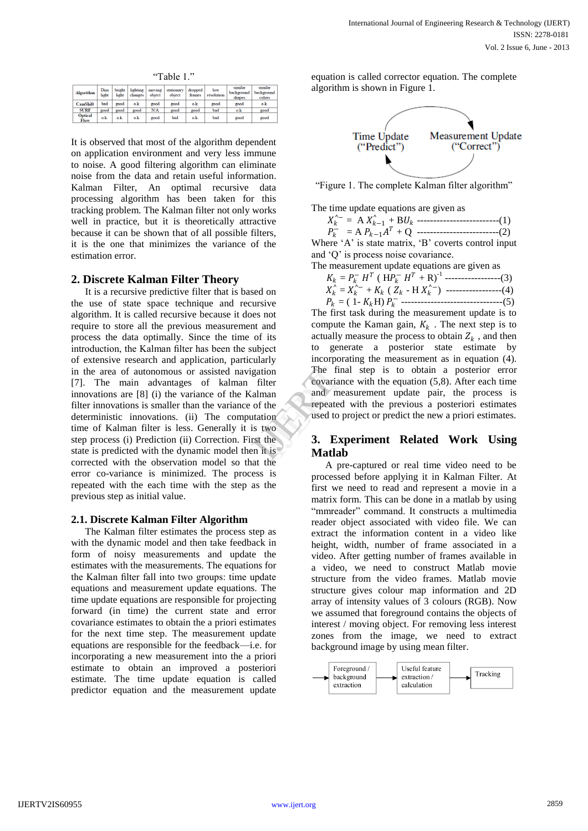"Table 1."

| <b>Algorithm</b>       | Dim<br>light          | bright<br>light | lighting<br>changes | moving<br>object | stationary<br>object | dropped<br>frames | low<br>resolution | similar<br>background<br>shapes | similar<br>background<br>colors |
|------------------------|-----------------------|-----------------|---------------------|------------------|----------------------|-------------------|-------------------|---------------------------------|---------------------------------|
| <b>CamShift</b>        | bad                   | good            | o.k.                | good             | good                 | $\alpha$          | good              | good                            | o.k.                            |
| <b>SURF</b>            | good                  | good            | good                | N/A              | good                 | good              | bad               | o.k.                            | good                            |
| <b>Optical</b><br>Flow | $\alpha$ <sub>k</sub> | o.k.            | o.k.                | good             | bad                  | o.k.              | bad               | good                            | good                            |

It is observed that most of the algorithm dependent on application environment and very less immune to noise. A good filtering algorithm can eliminate noise from the data and retain useful information. Kalman Filter, An optimal recursive data processing algorithm has been taken for this tracking problem. The Kalman filter not only works well in practice, but it is theoretically attractive because it can be shown that of all possible filters, it is the one that minimizes the variance of the estimation error.

#### **2. Discrete Kalman Filter Theory**

It is a recursive predictive filter that is based on the use of state space technique and recursive algorithm. It is called recursive because it does not require to store all the previous measurement and process the data optimally. Since the time of its introduction, the Kalman filter has been the subject of extensive research and application, particularly in the area of autonomous or assisted navigation [7]. The main advantages of kalman filter innovations are [8] (i) the variance of the Kalman filter innovations is smaller than the variance of the deterministic innovations. (ii) The computation time of Kalman filter is less. Generally it is two step process (i) Prediction (ii) Correction. First the state is predicted with the dynamic model then it is corrected with the observation model so that the error co-variance is minimized. The process is repeated with the each time with the step as the previous step as initial value.

#### **2.1. Discrete Kalman Filter Algorithm**

The Kalman filter estimates the process step as with the dynamic model and then take feedback in form of noisy measurements and update the estimates with the measurements. The equations for the Kalman filter fall into two groups: time update equations and measurement update equations. The time update equations are responsible for projecting forward (in time) the current state and error covariance estimates to obtain the a priori estimates for the next time step. The measurement update equations are responsible for the feedback—i.e. for incorporating a new measurement into the a priori estimate to obtain an improved a posteriori estimate. The time update equation is called predictor equation and the measurement update

equation is called corrector equation. The complete algorithm is shown in Figure 1.



"Figure 1. The complete Kalman filter algorithm"

The time update equations are given as

 $X_k^{\wedge -} = A X_{k-1}^{\wedge} + B U_k$  --------------------------(1)

 $P_k^-$  = A  $P_{k-1}A^T$  + Q --------------------------(2)

Where  $A'$  is state matrix,  $B'$  coverts control input and 'Q' is process noise covariance.

The measurement update equations are given as

| $K_k = P_k^- H^T$ ( $HP_k^- H^T + R$ ) <sup>-1</sup> ------------------(3)                |  |
|-------------------------------------------------------------------------------------------|--|
| $X_k^{\wedge} = X_k^{\wedge -} + K_k$ ( $Z_k$ - H $X_k^{\wedge -}$ ) -----------------(4) |  |
|                                                                                           |  |
|                                                                                           |  |

The first task during the measurement update is to compute the Kaman gain,  $K_k$ . The next step is to actually measure the process to obtain  $Z_k$ , and then to generate a posterior state estimate by incorporating the measurement as in equation (4). The final step is to obtain a posterior error covariance with the equation (5,8). After each time and measurement update pair, the process is repeated with the previous a posteriori estimates used to project or predict the new a priori estimates. The final<br>
Internation<br>
Internation<br>
If the state of the state of the state of the state of the state<br>
It is<br>
International state of the state of the state of the state<br>
It is<br>
Matlab

# **3. Experiment Related Work Using Matlab**

A pre-captured or real time video need to be processed before applying it in Kalman Filter. At first we need to read and represent a movie in a matrix form. This can be done in a matlab by using "mmreader" command. It constructs a multimedia reader object associated with video file. We can extract the information content in a video like height, width, number of frame associated in a video. After getting number of frames available in a video, we need to construct Matlab movie structure from the video frames. Matlab movie structure gives colour map information and 2D array of intensity values of 3 colours (RGB). Now we assumed that foreground contains the objects of interest / moving object. For removing less interest zones from the image, we need to extract background image by using mean filter.

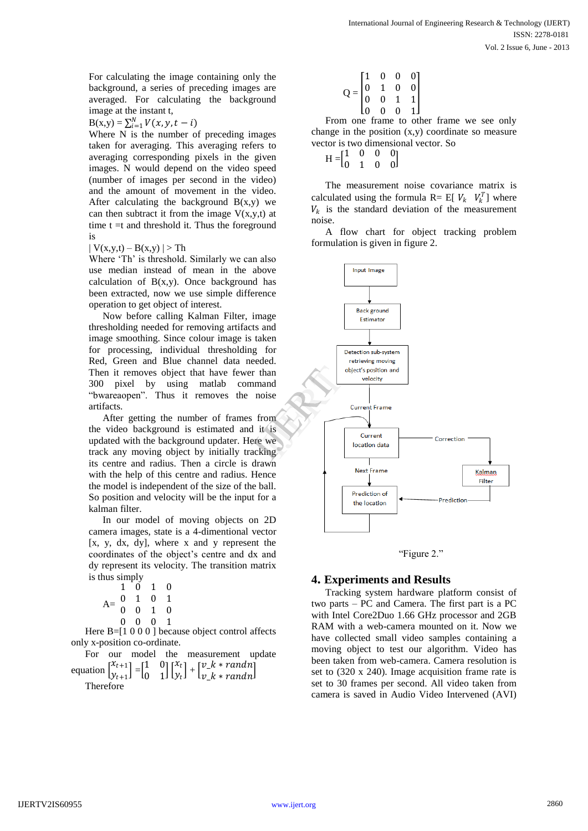For calculating the image containing only the background, a series of preceding images are averaged. For calculating the background image at the instant t,

 $B(x,y) = \sum_{i=1}^{N} V(x, y, t - i)$ 

Where N is the number of preceding images taken for averaging. This averaging refers to averaging corresponding pixels in the given images. N would depend on the video speed (number of images per second in the video) and the amount of movement in the video. After calculating the background  $B(x,y)$  we can then subtract it from the image  $V(x,y,t)$  at time  $t = t$  and threshold it. Thus the foreground is

 $| V(x,y,t) - B(x,y) | > Th$ 

Where 'Th' is threshold. Similarly we can also use median instead of mean in the above calculation of  $B(x,y)$ . Once background has been extracted, now we use simple difference operation to get object of interest.

Now before calling Kalman Filter, image thresholding needed for removing artifacts and image smoothing. Since colour image is taken for processing, individual thresholding for Red, Green and Blue channel data needed. Then it removes object that have fewer than 300 pixel by using matlab command "bwareaopen". Thus it removes the noise artifacts.

After getting the number of frames from the video background is estimated and it is updated with the background updater. Here we track any moving object by initially tracking its centre and radius. Then a circle is drawn with the help of this centre and radius. Hence the model is independent of the size of the ball. So position and velocity will be the input for a kalman filter.

In our model of moving objects on 2D camera images, state is a 4-dimentional vector [x, y, dx, dy], where x and y represent the coordinates of the object's centre and dx and dy represent its velocity. The transition matrix is thus simply

|   | $1\overline{0}$ 1 0                                               |            |  |
|---|-------------------------------------------------------------------|------------|--|
|   | $A = \begin{pmatrix} 0 & 1 & 0 & 1 \ 0 & 0 & 1 & 0 \end{pmatrix}$ |            |  |
|   |                                                                   |            |  |
| 0 | $\mathbf{0}$                                                      | $0\quad 1$ |  |

Here B=[1 0 0 0 ] because object control affects only x-position co-ordinate.

For our model the measurement update equation  $\begin{bmatrix} x_{t+1} \\ y_1 \end{bmatrix}$  $\begin{bmatrix} x_{t+1} \\ y_{t+1} \end{bmatrix} = \begin{bmatrix} 1 & 0 \\ 0 & 1 \end{bmatrix}$  $\begin{bmatrix} 1 & 0 \\ 0 & 1 \end{bmatrix} \begin{bmatrix} x_t \\ y_t \end{bmatrix}$  $\begin{bmatrix} x_t \ y_t \end{bmatrix} + \begin{bmatrix} v\_k * randn \\ v\_k * randn \end{bmatrix}$  $v_{k*}$  +  $r_{andn}$ 

Therefore

$$
Q = \begin{bmatrix} 1 & 0 & 0 & 0 \\ 0 & 1 & 0 & 0 \\ 0 & 0 & 1 & 1 \\ 0 & 0 & 0 & 1 \end{bmatrix}
$$

From one frame to other frame we see only change in the position (x,y) coordinate so measure vector is two dimensional vector. So

$$
H = \begin{bmatrix} 1 & 0 & 0 & 0 \\ 0 & 1 & 0 & 0 \end{bmatrix}
$$

The measurement noise covariance matrix is calculated using the formula  $R = E[V_k \ V_k^T]$  where  $V_k$  is the standard deviation of the measurement noise.

A flow chart for object tracking problem formulation is given in figure 2.



"Figure 2."

### **4. Experiments and Results**

Tracking system hardware platform consist of two parts – PC and Camera. The first part is a PC with Intel Core2Duo 1.66 GHz processor and 2GB RAM with a web-camera mounted on it. Now we have collected small video samples containing a moving object to test our algorithm. Video has been taken from web-camera. Camera resolution is set to (320 x 240). Image acquisition frame rate is set to 30 frames per second. All video taken from camera is saved in Audio Video Intervened (AVI)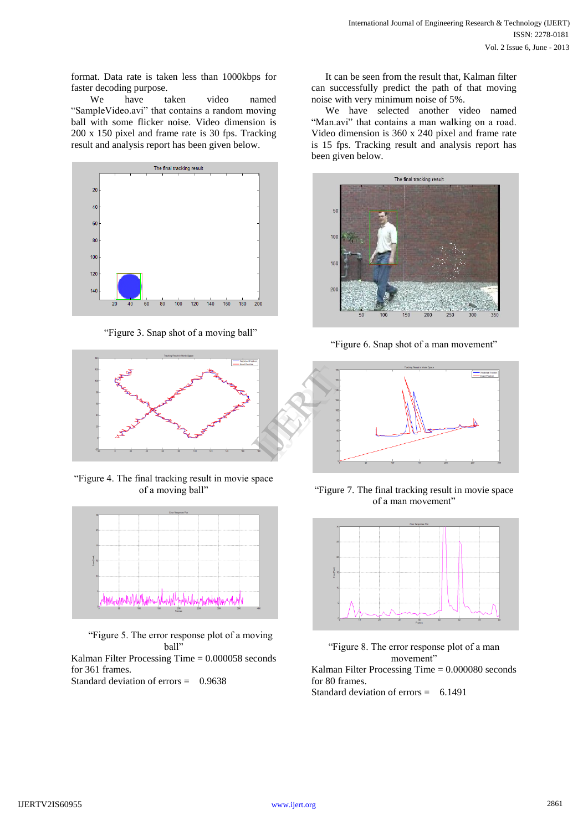format. Data rate is taken less than 1000kbps for faster decoding purpose.

 We have taken video named "SampleVideo.avi" that contains a random moving ball with some flicker noise. Video dimension is 200 x 150 pixel and frame rate is 30 fps. Tracking result and analysis report has been given below.



"Figure 3. Snap shot of a moving ball"



―Figure 4. The final tracking result in movie space of a moving ball"



―Figure 5. The error response plot of a moving ball"

Kalman Filter Processing Time = 0.000058 seconds for 361 frames.

Standard deviation of errors = 0.9638

It can be seen from the result that, Kalman filter can successfully predict the path of that moving noise with very minimum noise of 5%.

We have selected another video named "Man.avi" that contains a man walking on a road. Video dimension is 360 x 240 pixel and frame rate is 15 fps. Tracking result and analysis report has been given below.



"Figure 6. Snap shot of a man movement"



―Figure 7. The final tracking result in movie space of a man movement"



―Figure 8. The error response plot of a man movement" Kalman Filter Processing Time = 0.000080 seconds for 80 frames. Standard deviation of errors = 6.1491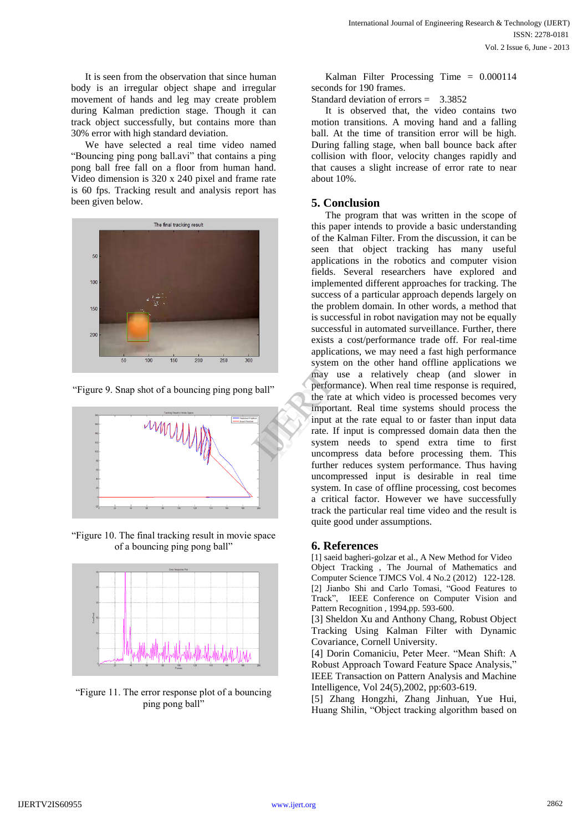It is seen from the observation that since human body is an irregular object shape and irregular movement of hands and leg may create problem during Kalman prediction stage. Though it can track object successfully, but contains more than 30% error with high standard deviation.

We have selected a real time video named "Bouncing ping pong ball.avi" that contains a ping pong ball free fall on a floor from human hand. Video dimension is 320 x 240 pixel and frame rate is 60 fps. Tracking result and analysis report has been given below.



"Figure 9. Snap shot of a bouncing ping pong ball"



―Figure 10. The final tracking result in movie space of a bouncing ping pong ball"



―Figure 11. The error response plot of a bouncing ping pong ball"

Kalman Filter Processing Time = 0.000114 seconds for 190 frames.

Standard deviation of errors = 3.3852

It is observed that, the video contains two motion transitions. A moving hand and a falling ball. At the time of transition error will be high. During falling stage, when ball bounce back after collision with floor, velocity changes rapidly and that causes a slight increase of error rate to near about 10%.

# **5. Conclusion**

The program that was written in the scope of this paper intends to provide a basic understanding of the Kalman Filter. From the discussion, it can be seen that object tracking has many useful applications in the robotics and computer vision fields. Several researchers have explored and implemented different approaches for tracking. The success of a particular approach depends largely on the problem domain. In other words, a method that is successful in robot navigation may not be equally successful in automated surveillance. Further, there exists a cost/performance trade off. For real-time applications, we may need a fast high performance system on the other hand offline applications we may use a relatively cheap (and slower in performance). When real time response is required, the rate at which video is processed becomes very important. Real time systems should process the input at the rate equal to or faster than input data rate. If input is compressed domain data then the system needs to spend extra time to first uncompress data before processing them. This further reduces system performance. Thus having uncompressed input is desirable in real time system. In case of offline processing, cost becomes a critical factor. However we have successfully track the particular real time video and the result is quite good under assumptions. all"<br>
all"<br>
experient may use<br>
the rate at<br>
important.<br>
input at th<br>
rate. If ing<br>
system no<br>
uncompres

# **6. References**

[1] saeid bagheri-golzar et al., A New Method for Video Object Tracking , The Journal of Mathematics and Computer Science TJMCS Vol. 4 No.2 (2012) 122-128. [2] Jianbo Shi and Carlo Tomasi, "Good Features to Track", IEEE Conference on Computer Vision and Pattern Recognition , 1994,pp. 593-600.

[3] Sheldon Xu and Anthony Chang, Robust Object Tracking Using Kalman Filter with Dynamic Covariance, Cornell University.

[4] Dorin Comaniciu, Peter Meer. "Mean Shift: A Robust Approach Toward Feature Space Analysis," IEEE Transaction on Pattern Analysis and Machine Intelligence, Vol 24(5),2002, pp:603-619.

[5] Zhang Hongzhi, Zhang Jinhuan, Yue Hui, Huang Shilin, "Object tracking algorithm based on